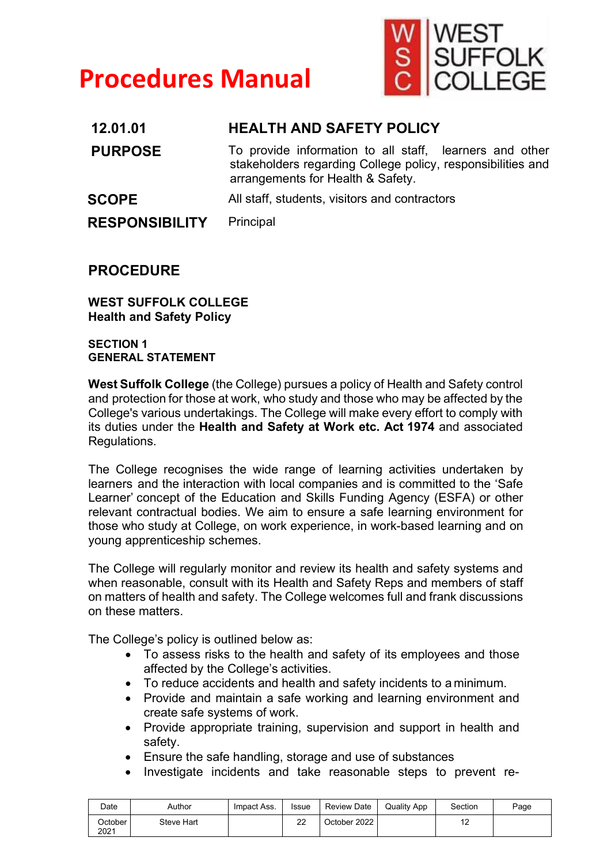# **Procedures Manual**



| 12.01.01              | <b>HEALTH AND SAFETY POLICY</b>                                                                                                                             |
|-----------------------|-------------------------------------------------------------------------------------------------------------------------------------------------------------|
| <b>PURPOSE</b>        | To provide information to all staff, learners and other<br>stakeholders regarding College policy, responsibilities and<br>arrangements for Health & Safety. |
| <b>SCOPE</b>          | All staff, students, visitors and contractors                                                                                                               |
| <b>RESPONSIBILITY</b> | Principal                                                                                                                                                   |

# **PROCEDURE**

**WEST SUFFOLK COLLEGE Health and Safety Policy** 

**SECTION 1 GENERAL STATEMENT**

**West Suffolk College** (the College) pursues a policy of Health and Safety control and protection for those at work, who study and those who may be affected by the College's various undertakings. The College will make every effort to comply with its duties under the **Health and Safety at Work etc. Act 1974** and associated Regulations.

The College recognises the wide range of learning activities undertaken by learners and the interaction with local companies and is committed to the 'Safe Learner' concept of the Education and Skills Funding Agency (ESFA) or other relevant contractual bodies. We aim to ensure a safe learning environment for those who study at College, on work experience, in work-based learning and on young apprenticeship schemes.

The College will regularly monitor and review its health and safety systems and when reasonable, consult with its Health and Safety Reps and members of staff on matters of health and safety. The College welcomes full and frank discussions on these matters.

The College's policy is outlined below as:

- To assess risks to the health and safety of its employees and those affected by the College's activities.
- To reduce accidents and health and safety incidents to a minimum.
- Provide and maintain a safe working and learning environment and create safe systems of work.
- Provide appropriate training, supervision and support in health and safety.
- Ensure the safe handling, storage and use of substances
- Investigate incidents and take reasonable steps to prevent re-

| Date            | Author     | Impact Ass. | <b>Issue</b> | Review Date | <b>Quality App</b> | Section               | Page |
|-----------------|------------|-------------|--------------|-------------|--------------------|-----------------------|------|
| October<br>2021 | Steve Hart |             | ົ<br>ے       | Ctober 2022 |                    | $\overline{a}$<br>. . |      |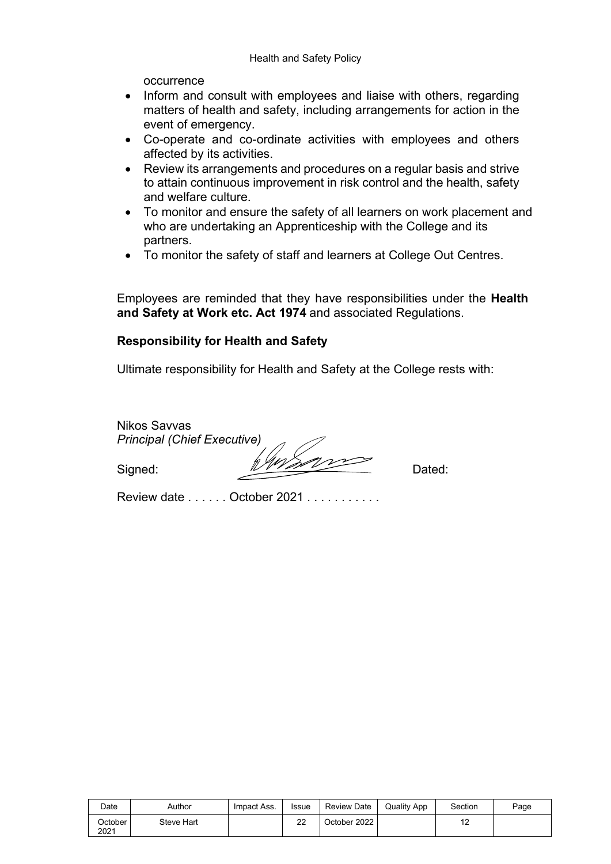occurrence

- Inform and consult with employees and liaise with others, regarding matters of health and safety, including arrangements for action in the event of emergency.
- Co-operate and co-ordinate activities with employees and others affected by its activities.
- Review its arrangements and procedures on a regular basis and strive to attain continuous improvement in risk control and the health, safety and welfare culture.
- To monitor and ensure the safety of all learners on work placement and who are undertaking an Apprenticeship with the College and its partners.
- To monitor the safety of staff and learners at College Out Centres.

Employees are reminded that they have responsibilities under the **Health and Safety at Work etc. Act 1974** and associated Regulations.

# **Responsibility for Health and Safety**

Ultimate responsibility for Health and Safety at the College rests with:

Nikos Savvas *Principal (Chief Executive)*

Signed: Viventure Dated:

Review date . . . . . . October 2021 . . . . . . . . . . .

| Date            | Author     | Impact Ass. | <b>Issue</b> | <b>Review Date</b> | <b>Quality App</b> | Section | Page |
|-----------------|------------|-------------|--------------|--------------------|--------------------|---------|------|
| October<br>2021 | Steve Hart |             | າາ<br>ے      | October 2022       |                    | . .     |      |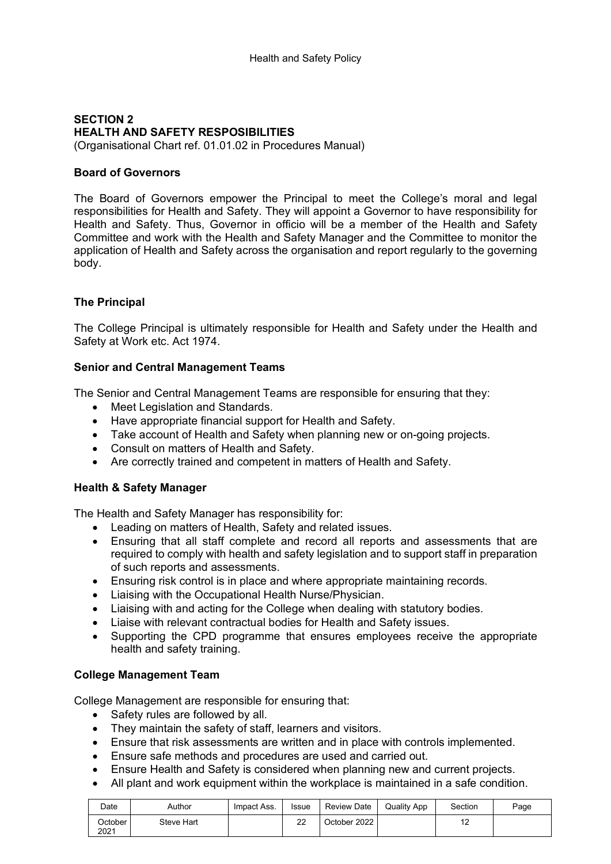# **SECTION 2 HEALTH AND SAFETY RESPOSIBILITIES**

(Organisational Chart ref. 01.01.02 in Procedures Manual)

# **Board of Governors**

The Board of Governors empower the Principal to meet the College's moral and legal responsibilities for Health and Safety. They will appoint a Governor to have responsibility for Health and Safety. Thus, Governor in officio will be a member of the Health and Safety Committee and work with the Health and Safety Manager and the Committee to monitor the application of Health and Safety across the organisation and report regularly to the governing body.

# **The Principal**

The College Principal is ultimately responsible for Health and Safety under the Health and Safety at Work etc. Act 1974.

# **Senior and Central Management Teams**

The Senior and Central Management Teams are responsible for ensuring that they:

- Meet Legislation and Standards.
- Have appropriate financial support for Health and Safety.
- Take account of Health and Safety when planning new or on-going projects.
- Consult on matters of Health and Safety.
- Are correctly trained and competent in matters of Health and Safety.

# **Health & Safety Manager**

The Health and Safety Manager has responsibility for:

- Leading on matters of Health, Safety and related issues.
- Ensuring that all staff complete and record all reports and assessments that are required to comply with health and safety legislation and to support staff in preparation of such reports and assessments.
- Ensuring risk control is in place and where appropriate maintaining records.
- Liaising with the Occupational Health Nurse/Physician.
- Liaising with and acting for the College when dealing with statutory bodies.
- Liaise with relevant contractual bodies for Health and Safety issues.
- Supporting the CPD programme that ensures employees receive the appropriate health and safety training.

# **College Management Team**

College Management are responsible for ensuring that:

- Safety rules are followed by all.
- They maintain the safety of staff, learners and visitors.
- Ensure that risk assessments are written and in place with controls implemented.
- Ensure safe methods and procedures are used and carried out.
- Ensure Health and Safety is considered when planning new and current projects.
- All plant and work equipment within the workplace is maintained in a safe condition.

| Date            | Author     | Impact Ass. | Issue  | Review Date  | <b>Quality App</b> | Section               | Page |
|-----------------|------------|-------------|--------|--------------|--------------------|-----------------------|------|
| October<br>2021 | Steve Hart |             | ົ<br>ے | October 2022 |                    | $\overline{a}$<br>. . |      |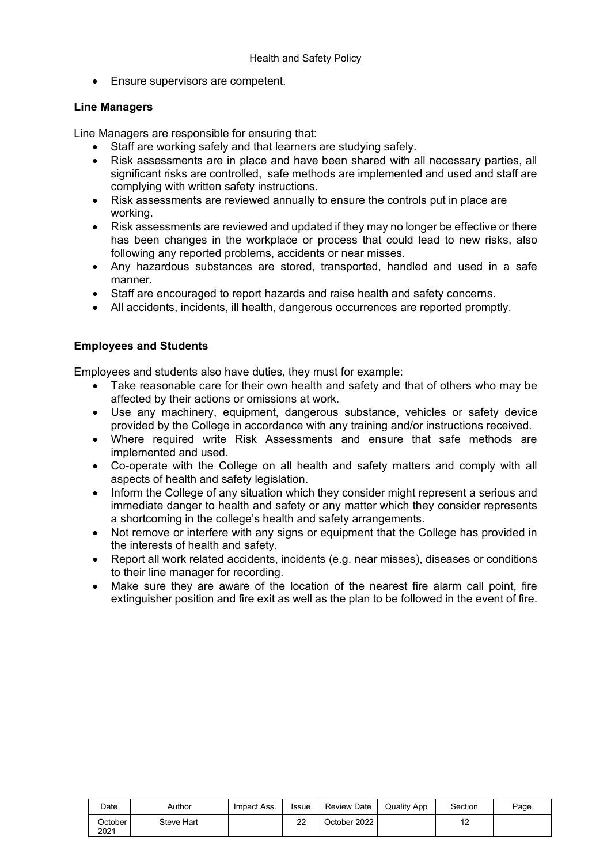• Ensure supervisors are competent.

#### **Line Managers**

Line Managers are responsible for ensuring that:

- Staff are working safely and that learners are studying safely.
- Risk assessments are in place and have been shared with all necessary parties, all significant risks are controlled, safe methods are implemented and used and staff are complying with written safety instructions.
- Risk assessments are reviewed annually to ensure the controls put in place are working.
- Risk assessments are reviewed and updated if they may no longer be effective or there has been changes in the workplace or process that could lead to new risks, also following any reported problems, accidents or near misses.
- Any hazardous substances are stored, transported, handled and used in a safe manner.
- Staff are encouraged to report hazards and raise health and safety concerns.
- All accidents, incidents, ill health, dangerous occurrences are reported promptly.

# **Employees and Students**

Employees and students also have duties, they must for example:

- Take reasonable care for their own health and safety and that of others who may be affected by their actions or omissions at work.
- Use any machinery, equipment, dangerous substance, vehicles or safety device provided by the College in accordance with any training and/or instructions received.
- Where required write Risk Assessments and ensure that safe methods are implemented and used.
- Co-operate with the College on all health and safety matters and comply with all aspects of health and safety legislation.
- Inform the College of any situation which they consider might represent a serious and immediate danger to health and safety or any matter which they consider represents a shortcoming in the college's health and safety arrangements.
- Not remove or interfere with any signs or equipment that the College has provided in the interests of health and safety.
- Report all work related accidents, incidents (e.g. near misses), diseases or conditions to their line manager for recording.
- Make sure they are aware of the location of the nearest fire alarm call point, fire extinguisher position and fire exit as well as the plan to be followed in the event of fire.

| Date            | Author     | Impact Ass. | <b>Issue</b> | Review Date  | <b>Quality App</b> | Section | Page |
|-----------------|------------|-------------|--------------|--------------|--------------------|---------|------|
| October<br>2021 | Steve Hart |             | ົ<br>∠∠      | October 2022 |                    | . .     |      |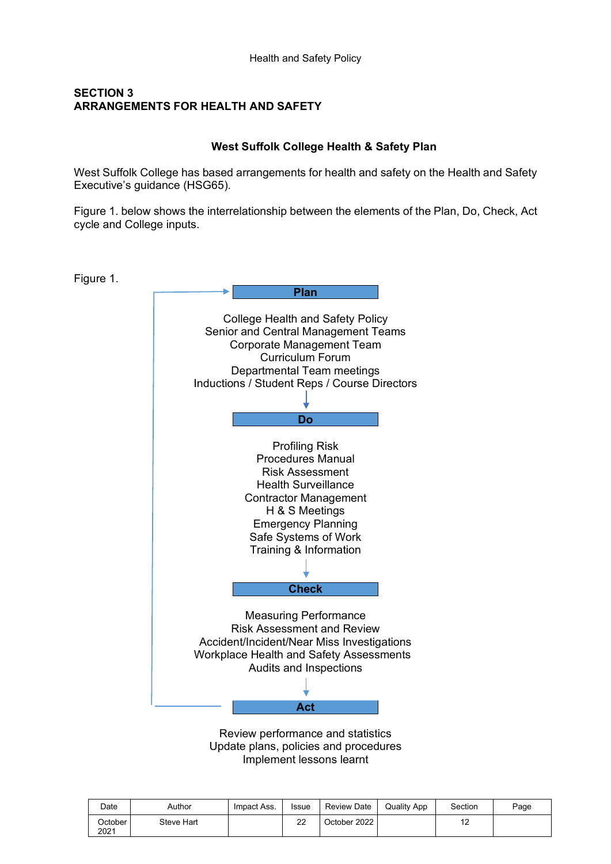# **SECTION 3 ARRANGEMENTS FOR HEALTH AND SAFETY**

# **West Suffolk College Health & Safety Plan**

West Suffolk College has based arrangements for health and safety on the Health and Safety Executive's guidance (HSG65).

Figure 1. below shows the interrelationship between the elements of the Plan, Do, Check, Act cycle and College inputs.

Figure 1.



Review performance and statistics Update plans, policies and procedures Implement lessons learnt

| Date            | Author     | Impact Ass. | <b>Issue</b> | <b>Review Date</b> | <b>Quality App</b> | Section | Page |
|-----------------|------------|-------------|--------------|--------------------|--------------------|---------|------|
| October<br>2021 | Steve Hart |             | 22           | October 2022       |                    | . .     |      |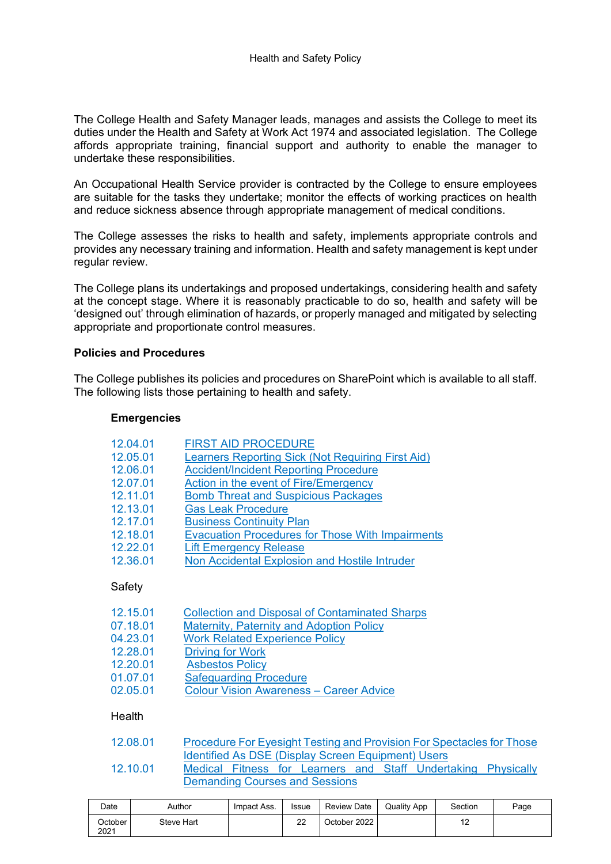The College Health and Safety Manager leads, manages and assists the College to meet its duties under the Health and Safety at Work Act 1974 and associated legislation. The College affords appropriate training, financial support and authority to enable the manager to undertake these responsibilities.

An Occupational Health Service provider is contracted by the College to ensure employees are suitable for the tasks they undertake; monitor the effects of working practices on health and reduce sickness absence through appropriate management of medical conditions.

The College assesses the risks to health and safety, implements appropriate controls and provides any necessary training and information. Health and safety management is kept under regular review.

The College plans its undertakings and proposed undertakings, considering health and safety at the concept stage. Where it is reasonably practicable to do so, health and safety will be 'designed out' through elimination of hazards, or properly managed and mitigated by selecting appropriate and proportionate control measures.

#### **Policies and Procedures**

The College publishes its policies and procedures on SharePoint which is available to all staff. The following lists those pertaining to health and safety.

#### **Emergencies**

| 12.04.01 | <b>FIRST AID PROCEDURE</b>                              |
|----------|---------------------------------------------------------|
| 12.05.01 | Learners Reporting Sick (Not Requiring First Aid)       |
| 12.06.01 | <b>Accident/Incident Reporting Procedure</b>            |
| 12.07.01 | Action in the event of Fire/Emergency                   |
| 12.11.01 | <b>Bomb Threat and Suspicious Packages</b>              |
| 12.13.01 | <b>Gas Leak Procedure</b>                               |
| 12.17.01 | <b>Business Continuity Plan</b>                         |
| 12.18.01 | <b>Evacuation Procedures for Those With Impairments</b> |
| 12.22.01 | <b>Lift Emergency Release</b>                           |
| 12.36.01 | Non Accidental Explosion and Hostile Intruder           |
|          |                                                         |
| Safety   |                                                         |
|          | $\sim$ $\sim$ $\sim$                                    |

| 12.15.01 | <b>Collection and Disposal of Contaminated Sharps</b> |
|----------|-------------------------------------------------------|
| 07.18.01 | <b>Maternity, Paternity and Adoption Policy</b>       |
| 04.23.01 | <b>Work Related Experience Policy</b>                 |
| 12.28.01 | <b>Driving for Work</b>                               |
| 12.20.01 | <b>Asbestos Policy</b>                                |
| 01.07.01 | <b>Safeguarding Procedure</b>                         |
| 02.05.01 | <b>Colour Vision Awareness - Career Advice</b>        |

#### **Health**

| 12.08.01 | Procedure For Eyesight Testing and Provision For Spectacles for Those |  |  |                                                    |  |  |                                                               |  |  |  |
|----------|-----------------------------------------------------------------------|--|--|----------------------------------------------------|--|--|---------------------------------------------------------------|--|--|--|
|          |                                                                       |  |  | Identified As DSE (Display Screen Equipment) Users |  |  |                                                               |  |  |  |
| 12.10.01 |                                                                       |  |  |                                                    |  |  | Medical Fitness for Learners and Staff Undertaking Physically |  |  |  |
|          | <b>Demanding Courses and Sessions</b>                                 |  |  |                                                    |  |  |                                                               |  |  |  |

| Date            | Author     | Impact Ass. | <b>Issue</b> | Review Date  | <b>Quality App</b> | Section | Page |
|-----------------|------------|-------------|--------------|--------------|--------------------|---------|------|
| October<br>2021 | Steve Hart |             | ົ<br>22      | October 2022 |                    | . .     |      |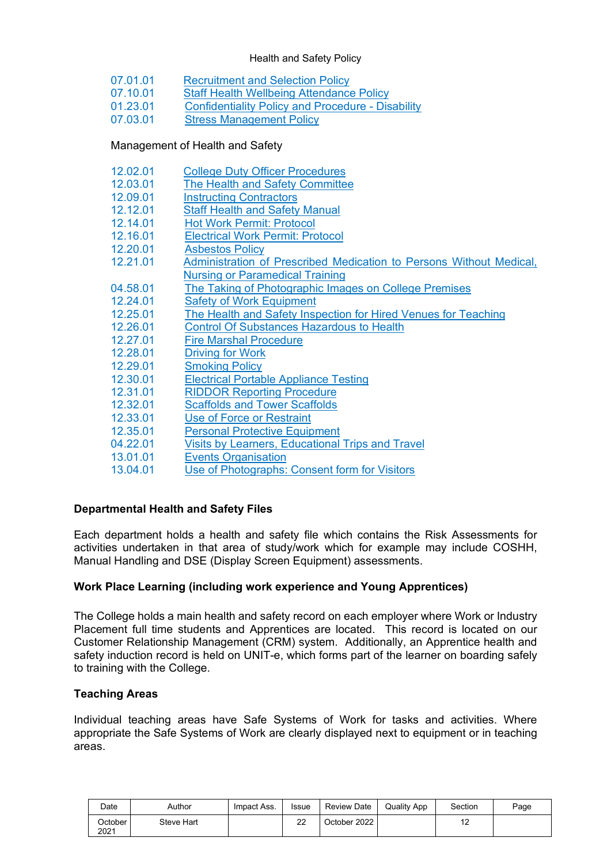#### Health and Safety Policy

- 07.01.01 [Recruitment and Selection Policy](https://wscac.sharepoint.com/collegedocuments/ProceduresManual/Procedures%20Manual/07%20%E2%80%93%20Human%20Resources/07.01.01%20Recruitment%20and%20Selection%20Policy.pdf#search=07%2E01%2E01)
- 07.10.01 [Staff Health Wellbeing Attendance Policy](https://wscac.sharepoint.com/collegedocuments/ProceduresManual/Procedures%20Manual/07%20%E2%80%93%20Human%20Resources/07.10.01%20Staff%20Health%20Wellbeing%20Attendance%20Policy.pdf#search=07%2E10%2E01)<br>01.23.01 Confidentiality Policy and Procedure Dis
- 01.23.01 [Confidentiality Policy and Procedure -](https://wscac.sharepoint.com/collegedocuments/ProceduresManual/Procedures%20Manual/01%20-%20College%20Organisation/01.23.01%20Special%20Education%20Needs%20and%20Disabilities%20Policy%2019-20.pdf#search=01%2E23%2E01) Disability<br>07.03.01 Stress Management Policy
- **[Stress Management Policy](https://wscac.sharepoint.com/collegedocuments/ProceduresManual/Procedures%20Manual/07%20%E2%80%93%20Human%20Resources/07.03.01%20%20Stress%20Management%20Policy.pdf#search=07%2E03%2E01)**

# Management of Health and Safety

| 12.02.01 | College Duty Officer Procedures                                     |
|----------|---------------------------------------------------------------------|
| 12.03.01 | The Health and Safety Committee                                     |
| 12.09.01 | <b>Instructing Contractors</b>                                      |
| 12.12.01 | <b>Staff Health and Safety Manual</b>                               |
| 12.14.01 | <b>Hot Work Permit: Protocol</b>                                    |
| 12.16.01 | <b>Electrical Work Permit: Protocol</b>                             |
| 12.20.01 | <b>Asbestos Policy</b>                                              |
| 12.21.01 | Administration of Prescribed Medication to Persons Without Medical, |
|          | <b>Nursing or Paramedical Training</b>                              |
| 04.58.01 | The Taking of Photographic Images on College Premises               |
| 12.24.01 | <b>Safety of Work Equipment</b>                                     |
| 12.25.01 | The Health and Safety Inspection for Hired Venues for Teaching      |
| 12.26.01 | <b>Control Of Substances Hazardous to Health</b>                    |
| 12.27.01 | <b>Fire Marshal Procedure</b>                                       |
| 12.28.01 | <b>Driving for Work</b>                                             |
| 12.29.01 | <b>Smoking Policy</b>                                               |
| 12.30.01 | <b>Electrical Portable Appliance Testing</b>                        |
| 12.31.01 | <b>RIDDOR Reporting Procedure</b>                                   |
| 12.32.01 | <b>Scaffolds and Tower Scaffolds</b>                                |
| 12.33.01 | <b>Use of Force or Restraint</b>                                    |
| 12.35.01 | <b>Personal Protective Equipment</b>                                |
| 04.22.01 | Visits by Learners, Educational Trips and Travel                    |
| 13.01.01 | <b>Events Organisation</b>                                          |
| 13.04.01 | Use of Photographs: Consent form for Visitors                       |
|          |                                                                     |

# **Departmental Health and Safety Files**

Each department holds a health and safety file which contains the Risk Assessments for activities undertaken in that area of study/work which for example may include COSHH, Manual Handling and DSE (Display Screen Equipment) assessments.

# **Work Place Learning (including work experience and Young Apprentices)**

The College holds a main health and safety record on each employer where Work or Industry Placement full time students and Apprentices are located. This record is located on our Customer Relationship Management (CRM) system. Additionally, an Apprentice health and safety induction record is held on UNIT-e, which forms part of the learner on boarding safely to training with the College.

# **Teaching Areas**

Individual teaching areas have Safe Systems of Work for tasks and activities. Where appropriate the Safe Systems of Work are clearly displayed next to equipment or in teaching areas.

| Date            | Author     | Impact Ass. | <b>Issue</b> | <b>Review Date</b> | Quality App | Section | Page |
|-----------------|------------|-------------|--------------|--------------------|-------------|---------|------|
| October<br>2021 | Steve Hart |             | າາ<br>22     | October 2022       |             | . .     |      |